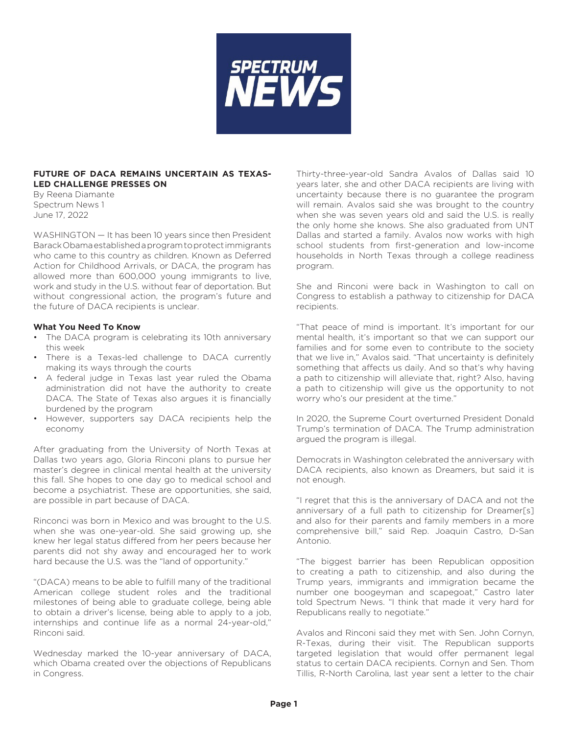

## **FUTURE OF DACA REMAINS UNCERTAIN AS TEXAS-LED CHALLENGE PRESSES ON**

By Reena Diamante Spectrum News 1 June 17, 2022

WASHINGTON — It has been 10 years since then President Barack Obama established a program to protect immigrants who came to this country as children. Known as Deferred Action for Childhood Arrivals, or DACA, the program has allowed more than 600,000 young immigrants to live, work and study in the U.S. without fear of deportation. But without congressional action, the program's future and the future of DACA recipients is unclear.

## **What You Need To Know**

- The DACA program is celebrating its 10th anniversary this week
- There is a Texas-led challenge to DACA currently making its ways through the courts
- A federal judge in Texas last year ruled the Obama administration did not have the authority to create DACA. The State of Texas also argues it is financially burdened by the program
- However, supporters say DACA recipients help the economy

After graduating from the University of North Texas at Dallas two years ago, Gloria Rinconi plans to pursue her master's degree in clinical mental health at the university this fall. She hopes to one day go to medical school and become a psychiatrist. These are opportunities, she said, are possible in part because of DACA.

Rinconci was born in Mexico and was brought to the U.S. when she was one-year-old. She said growing up, she knew her legal status differed from her peers because her parents did not shy away and encouraged her to work hard because the U.S. was the "land of opportunity."

"(DACA) means to be able to fulfill many of the traditional American college student roles and the traditional milestones of being able to graduate college, being able to obtain a driver's license, being able to apply to a job, internships and continue life as a normal 24-year-old," Rinconi said.

Wednesday marked the 10-year anniversary of DACA, which Obama created over the objections of Republicans in Congress.

Thirty-three-year-old Sandra Avalos of Dallas said 10 years later, she and other DACA recipients are living with uncertainty because there is no guarantee the program will remain. Avalos said she was brought to the country when she was seven years old and said the U.S. is really the only home she knows. She also graduated from UNT Dallas and started a family. Avalos now works with high school students from first-generation and low-income households in North Texas through a college readiness program.

She and Rinconi were back in Washington to call on Congress to establish a pathway to citizenship for DACA recipients.

"That peace of mind is important. It's important for our mental health, it's important so that we can support our families and for some even to contribute to the society that we live in," Avalos said. "That uncertainty is definitely something that affects us daily. And so that's why having a path to citizenship will alleviate that, right? Also, having a path to citizenship will give us the opportunity to not worry who's our president at the time."

In 2020, the Supreme Court overturned President Donald Trump's termination of DACA. The Trump administration argued the program is illegal.

Democrats in Washington celebrated the anniversary with DACA recipients, also known as Dreamers, but said it is not enough.

"I regret that this is the anniversary of DACA and not the anniversary of a full path to citizenship for Dreamer[s] and also for their parents and family members in a more comprehensive bill," said Rep. Joaquin Castro, D-San Antonio.

"The biggest barrier has been Republican opposition to creating a path to citizenship, and also during the Trump years, immigrants and immigration became the number one boogeyman and scapegoat," Castro later told Spectrum News. "I think that made it very hard for Republicans really to negotiate."

Avalos and Rinconi said they met with Sen. John Cornyn, R-Texas, during their visit. The Republican supports targeted legislation that would offer permanent legal status to certain DACA recipients. Cornyn and Sen. Thom Tillis, R-North Carolina, last year sent a letter to the chair